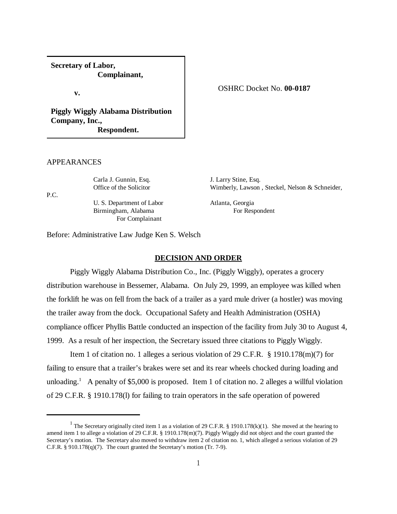**Secretary of Labor, Complainant,**

**v.**

**Piggly Wiggly Alabama Distribution Company, Inc., Respondent.**

# APPEARANCES

P.C.

Carla J. Gunnin, Esq. J. Larry Stine, Esq. U. S. Department of Labor Atlanta, Georgia Birmingham, Alabama For Respondent For Complainant

OSHRC Docket No. **00-0187**

Office of the Solicitor Wimberly, Lawson, Steckel, Nelson & Schneider,

Before: Administrative Law Judge Ken S. Welsch

## **DECISION AND ORDER**

Piggly Wiggly Alabama Distribution Co., Inc. (Piggly Wiggly), operates a grocery distribution warehouse in Bessemer, Alabama. On July 29, 1999, an employee was killed when the forklift he was on fell from the back of a trailer as a yard mule driver (a hostler) was moving the trailer away from the dock. Occupational Safety and Health Administration (OSHA) compliance officer Phyllis Battle conducted an inspection of the facility from July 30 to August 4, 1999. As a result of her inspection, the Secretary issued three citations to Piggly Wiggly.

Item 1 of citation no. 1 alleges a serious violation of 29 C.F.R. § 1910.178(m)(7) for failing to ensure that a trailer's brakes were set and its rear wheels chocked during loading and unloading.<sup>1</sup> A penalty of \$5,000 is proposed. Item 1 of citation no. 2 alleges a willful violation of 29 C.F.R. § 1910.178(l) for failing to train operators in the safe operation of powered

<sup>&</sup>lt;sup>1</sup> The Secretary originally cited item 1 as a violation of 29 C.F.R. § 1910.178(k)(1). She moved at the hearing to amend item 1 to allege a violation of 29 C.F.R. § 1910.178(m)(7). Piggly Wiggly did not object and the court granted the Secretary's motion. The Secretary also moved to withdraw item 2 of citation no. 1, which alleged a serious violation of 29 C.F.R. § 910.178(q)(7). The court granted the Secretary's motion (Tr. 7-9).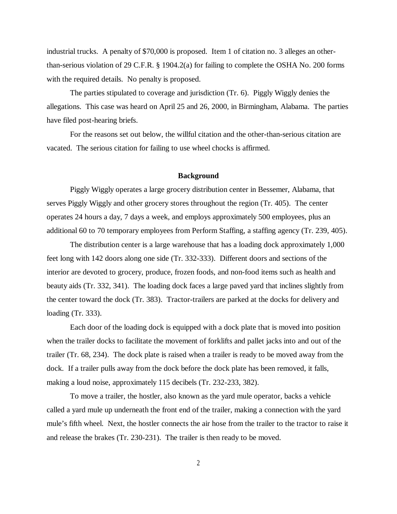industrial trucks. A penalty of \$70,000 is proposed. Item 1 of citation no. 3 alleges an otherthan-serious violation of 29 C.F.R. § 1904.2(a) for failing to complete the OSHA No. 200 forms with the required details. No penalty is proposed.

The parties stipulated to coverage and jurisdiction (Tr. 6). Piggly Wiggly denies the allegations. This case was heard on April 25 and 26, 2000, in Birmingham, Alabama. The parties have filed post-hearing briefs.

For the reasons set out below, the willful citation and the other-than-serious citation are vacated. The serious citation for failing to use wheel chocks is affirmed.

## **Background**

Piggly Wiggly operates a large grocery distribution center in Bessemer, Alabama, that serves Piggly Wiggly and other grocery stores throughout the region (Tr. 405). The center operates 24 hours a day, 7 days a week, and employs approximately 500 employees, plus an additional 60 to 70 temporary employees from Perform Staffing, a staffing agency (Tr. 239, 405).

The distribution center is a large warehouse that has a loading dock approximately 1,000 feet long with 142 doors along one side (Tr. 332-333). Different doors and sections of the interior are devoted to grocery, produce, frozen foods, and non-food items such as health and beauty aids (Tr. 332, 341). The loading dock faces a large paved yard that inclines slightly from the center toward the dock (Tr. 383). Tractor-trailers are parked at the docks for delivery and loading (Tr. 333).

Each door of the loading dock is equipped with a dock plate that is moved into position when the trailer docks to facilitate the movement of forklifts and pallet jacks into and out of the trailer (Tr. 68, 234). The dock plate is raised when a trailer is ready to be moved away from the dock. If a trailer pulls away from the dock before the dock plate has been removed, it falls, making a loud noise, approximately 115 decibels (Tr. 232-233, 382).

To move a trailer, the hostler, also known as the yard mule operator, backs a vehicle called a yard mule up underneath the front end of the trailer, making a connection with the yard mule's fifth wheel. Next, the hostler connects the air hose from the trailer to the tractor to raise it and release the brakes (Tr. 230-231). The trailer is then ready to be moved.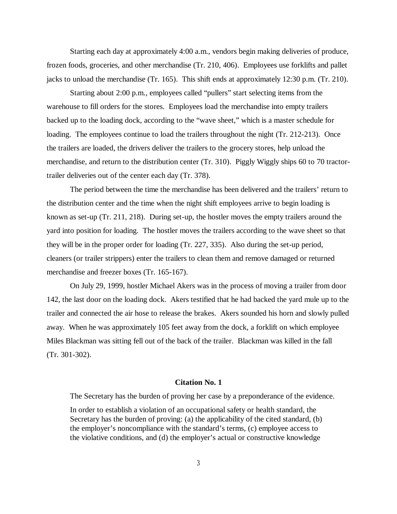Starting each day at approximately 4:00 a.m., vendors begin making deliveries of produce, frozen foods, groceries, and other merchandise (Tr. 210, 406). Employees use forklifts and pallet jacks to unload the merchandise (Tr. 165). This shift ends at approximately 12:30 p.m. (Tr. 210).

Starting about 2:00 p.m., employees called "pullers" start selecting items from the warehouse to fill orders for the stores. Employees load the merchandise into empty trailers backed up to the loading dock, according to the "wave sheet," which is a master schedule for loading. The employees continue to load the trailers throughout the night (Tr. 212-213). Once the trailers are loaded, the drivers deliver the trailers to the grocery stores, help unload the merchandise, and return to the distribution center (Tr. 310). Piggly Wiggly ships 60 to 70 tractortrailer deliveries out of the center each day (Tr. 378).

The period between the time the merchandise has been delivered and the trailers' return to the distribution center and the time when the night shift employees arrive to begin loading is known as set-up (Tr. 211, 218). During set-up, the hostler moves the empty trailers around the yard into position for loading. The hostler moves the trailers according to the wave sheet so that they will be in the proper order for loading (Tr. 227, 335). Also during the set-up period, cleaners (or trailer strippers) enter the trailers to clean them and remove damaged or returned merchandise and freezer boxes (Tr. 165-167).

On July 29, 1999, hostler Michael Akers was in the process of moving a trailer from door 142, the last door on the loading dock. Akers testified that he had backed the yard mule up to the trailer and connected the air hose to release the brakes. Akers sounded his horn and slowly pulled away. When he was approximately 105 feet away from the dock, a forklift on which employee Miles Blackman was sitting fell out of the back of the trailer. Blackman was killed in the fall (Tr. 301-302).

#### **Citation No. 1**

The Secretary has the burden of proving her case by a preponderance of the evidence.

In order to establish a violation of an occupational safety or health standard, the Secretary has the burden of proving: (a) the applicability of the cited standard, (b) the employer's noncompliance with the standard's terms, (c) employee access to the violative conditions, and (d) the employer's actual or constructive knowledge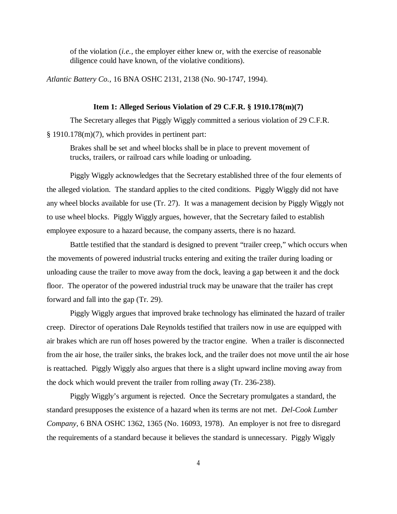of the violation (*i.e.,* the employer either knew or, with the exercise of reasonable diligence could have known, of the violative conditions).

*Atlantic Battery Co.,* 16 BNA OSHC 2131, 2138 (No. 90-1747, 1994).

## **Item 1: Alleged Serious Violation of 29 C.F.R. § 1910.178(m)(7)**

The Secretary alleges that Piggly Wiggly committed a serious violation of 29 C.F.R. § 1910.178(m)(7), which provides in pertinent part:

Brakes shall be set and wheel blocks shall be in place to prevent movement of trucks, trailers, or railroad cars while loading or unloading.

Piggly Wiggly acknowledges that the Secretary established three of the four elements of the alleged violation. The standard applies to the cited conditions. Piggly Wiggly did not have any wheel blocks available for use (Tr. 27). It was a management decision by Piggly Wiggly not to use wheel blocks. Piggly Wiggly argues, however, that the Secretary failed to establish employee exposure to a hazard because, the company asserts, there is no hazard.

Battle testified that the standard is designed to prevent "trailer creep," which occurs when the movements of powered industrial trucks entering and exiting the trailer during loading or unloading cause the trailer to move away from the dock, leaving a gap between it and the dock floor. The operator of the powered industrial truck may be unaware that the trailer has crept forward and fall into the gap (Tr. 29).

Piggly Wiggly argues that improved brake technology has eliminated the hazard of trailer creep. Director of operations Dale Reynolds testified that trailers now in use are equipped with air brakes which are run off hoses powered by the tractor engine. When a trailer is disconnected from the air hose, the trailer sinks, the brakes lock, and the trailer does not move until the air hose is reattached. Piggly Wiggly also argues that there is a slight upward incline moving away from the dock which would prevent the trailer from rolling away (Tr. 236-238).

Piggly Wiggly's argument is rejected. Once the Secretary promulgates a standard, the standard presupposes the existence of a hazard when its terms are not met. *Del-Cook Lumber Company,* 6 BNA OSHC 1362, 1365 (No. 16093, 1978). An employer is not free to disregard the requirements of a standard because it believes the standard is unnecessary. Piggly Wiggly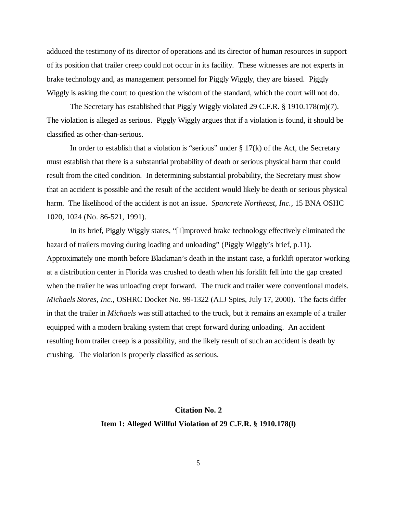adduced the testimony of its director of operations and its director of human resources in support of its position that trailer creep could not occur in its facility. These witnesses are not experts in brake technology and, as management personnel for Piggly Wiggly, they are biased. Piggly Wiggly is asking the court to question the wisdom of the standard, which the court will not do.

The Secretary has established that Piggly Wiggly violated 29 C.F.R. § 1910.178(m)(7). The violation is alleged as serious. Piggly Wiggly argues that if a violation is found, it should be classified as other-than-serious.

In order to establish that a violation is "serious" under  $\S 17(k)$  of the Act, the Secretary must establish that there is a substantial probability of death or serious physical harm that could result from the cited condition. In determining substantial probability, the Secretary must show that an accident is possible and the result of the accident would likely be death or serious physical harm. The likelihood of the accident is not an issue. *Spancrete Northeast, Inc.,* 15 BNA OSHC 1020, 1024 (No. 86-521, 1991).

In its brief, Piggly Wiggly states, "[I]mproved brake technology effectively eliminated the hazard of trailers moving during loading and unloading" (Piggly Wiggly's brief, p.11). Approximately one month before Blackman's death in the instant case, a forklift operator working at a distribution center in Florida was crushed to death when his forklift fell into the gap created when the trailer he was unloading crept forward. The truck and trailer were conventional models. *Michaels Stores, Inc.,* OSHRC Docket No. 99-1322 (ALJ Spies, July 17, 2000). The facts differ in that the trailer in *Michaels* was still attached to the truck, but it remains an example of a trailer equipped with a modern braking system that crept forward during unloading. An accident resulting from trailer creep is a possibility, and the likely result of such an accident is death by crushing. The violation is properly classified as serious.

# **Citation No. 2 Item 1: Alleged Willful Violation of 29 C.F.R. § 1910.178(l)**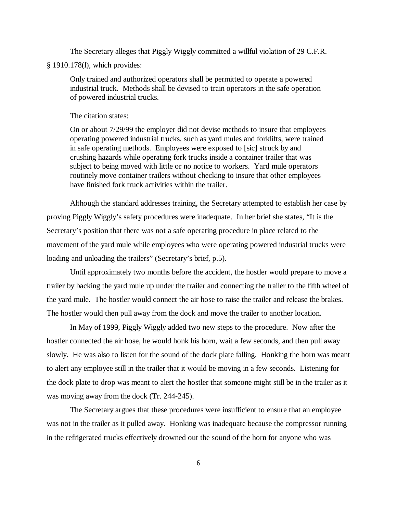The Secretary alleges that Piggly Wiggly committed a willful violation of 29 C.F.R.

§ 1910.178(l), which provides:

Only trained and authorized operators shall be permitted to operate a powered industrial truck. Methods shall be devised to train operators in the safe operation of powered industrial trucks.

The citation states:

On or about 7/29/99 the employer did not devise methods to insure that employees operating powered industrial trucks, such as yard mules and forklifts, were trained in safe operating methods. Employees were exposed to [sic] struck by and crushing hazards while operating fork trucks inside a container trailer that was subject to being moved with little or no notice to workers. Yard mule operators routinely move container trailers without checking to insure that other employees have finished fork truck activities within the trailer.

Although the standard addresses training, the Secretary attempted to establish her case by proving Piggly Wiggly's safety procedures were inadequate. In her brief she states, "It is the Secretary's position that there was not a safe operating procedure in place related to the movement of the yard mule while employees who were operating powered industrial trucks were loading and unloading the trailers" (Secretary's brief, p.5).

Until approximately two months before the accident, the hostler would prepare to move a trailer by backing the yard mule up under the trailer and connecting the trailer to the fifth wheel of the yard mule. The hostler would connect the air hose to raise the trailer and release the brakes. The hostler would then pull away from the dock and move the trailer to another location.

In May of 1999, Piggly Wiggly added two new steps to the procedure. Now after the hostler connected the air hose, he would honk his horn, wait a few seconds, and then pull away slowly. He was also to listen for the sound of the dock plate falling. Honking the horn was meant to alert any employee still in the trailer that it would be moving in a few seconds. Listening for the dock plate to drop was meant to alert the hostler that someone might still be in the trailer as it was moving away from the dock (Tr. 244-245).

The Secretary argues that these procedures were insufficient to ensure that an employee was not in the trailer as it pulled away. Honking was inadequate because the compressor running in the refrigerated trucks effectively drowned out the sound of the horn for anyone who was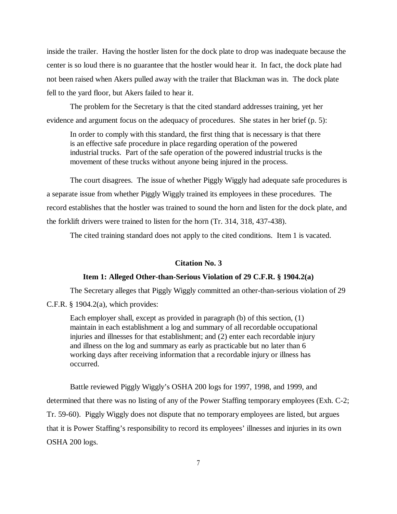inside the trailer. Having the hostler listen for the dock plate to drop was inadequate because the center is so loud there is no guarantee that the hostler would hear it. In fact, the dock plate had not been raised when Akers pulled away with the trailer that Blackman was in. The dock plate fell to the yard floor, but Akers failed to hear it.

The problem for the Secretary is that the cited standard addresses training, yet her evidence and argument focus on the adequacy of procedures. She states in her brief (p. 5):

In order to comply with this standard, the first thing that is necessary is that there is an effective safe procedure in place regarding operation of the powered industrial trucks. Part of the safe operation of the powered industrial trucks is the movement of these trucks without anyone being injured in the process.

The court disagrees. The issue of whether Piggly Wiggly had adequate safe procedures is a separate issue from whether Piggly Wiggly trained its employees in these procedures. The record establishes that the hostler was trained to sound the horn and listen for the dock plate, and the forklift drivers were trained to listen for the horn (Tr. 314, 318, 437-438).

The cited training standard does not apply to the cited conditions. Item 1 is vacated.

## **Citation No. 3**

## **Item 1: Alleged Other-than-Serious Violation of 29 C.F.R. § 1904.2(a)**

The Secretary alleges that Piggly Wiggly committed an other-than-serious violation of 29 C.F.R.  $\S$  1904.2(a), which provides:

Each employer shall, except as provided in paragraph (b) of this section, (1) maintain in each establishment a log and summary of all recordable occupational injuries and illnesses for that establishment; and (2) enter each recordable injury and illness on the log and summary as early as practicable but no later than 6 working days after receiving information that a recordable injury or illness has occurred.

Battle reviewed Piggly Wiggly's OSHA 200 logs for 1997, 1998, and 1999, and determined that there was no listing of any of the Power Staffing temporary employees (Exh. C-2; Tr. 59-60). Piggly Wiggly does not dispute that no temporary employees are listed, but argues that it is Power Staffing's responsibility to record its employees' illnesses and injuries in its own OSHA 200 logs.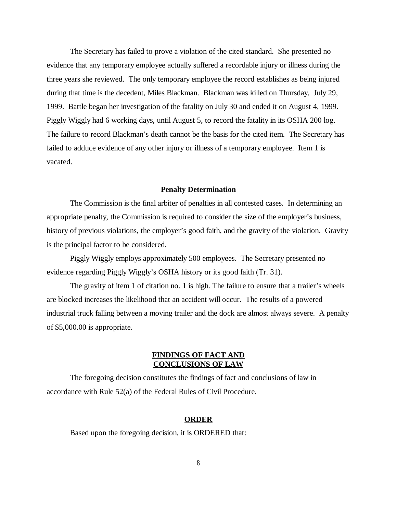The Secretary has failed to prove a violation of the cited standard. She presented no evidence that any temporary employee actually suffered a recordable injury or illness during the three years she reviewed. The only temporary employee the record establishes as being injured during that time is the decedent, Miles Blackman. Blackman was killed on Thursday, July 29, 1999. Battle began her investigation of the fatality on July 30 and ended it on August 4, 1999. Piggly Wiggly had 6 working days, until August 5, to record the fatality in its OSHA 200 log. The failure to record Blackman's death cannot be the basis for the cited item. The Secretary has failed to adduce evidence of any other injury or illness of a temporary employee. Item 1 is vacated.

## **Penalty Determination**

The Commission is the final arbiter of penalties in all contested cases. In determining an appropriate penalty, the Commission is required to consider the size of the employer's business, history of previous violations, the employer's good faith, and the gravity of the violation. Gravity is the principal factor to be considered.

Piggly Wiggly employs approximately 500 employees. The Secretary presented no evidence regarding Piggly Wiggly's OSHA history or its good faith (Tr. 31).

The gravity of item 1 of citation no. 1 is high. The failure to ensure that a trailer's wheels are blocked increases the likelihood that an accident will occur. The results of a powered industrial truck falling between a moving trailer and the dock are almost always severe. A penalty of \$5,000.00 is appropriate.

# **FINDINGS OF FACT AND CONCLUSIONS OF LAW**

The foregoing decision constitutes the findings of fact and conclusions of law in accordance with Rule 52(a) of the Federal Rules of Civil Procedure.

#### **ORDER**

Based upon the foregoing decision, it is ORDERED that: